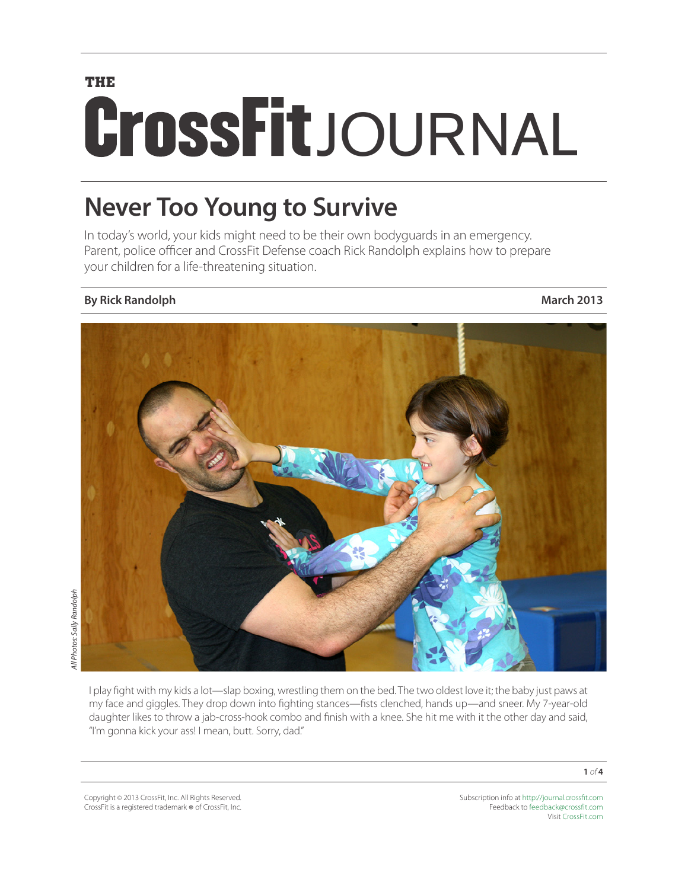# **THE CrossFit**JOURNAL

# **Never Too Young to Survive**

In today's world, your kids might need to be their own bodyguards in an emergency. Parent, police officer and CrossFit Defense coach Rick Randolph explains how to prepare your children for a life-threatening situation.

### **By Rick Randolph March 2013**



I play fight with my kids a lot—slap boxing, wrestling them on the bed. The two oldest love it; the baby just paws at my face and giggles. They drop down into fighting stances—fists clenched, hands up—and sneer. My 7-year-old daughter likes to throw a jab-cross-hook combo and finish with a knee. She hit me with it the other day and said, "I'm gonna kick your ass! I mean, butt. Sorry, dad."

Copyright © 2013 CrossFit, Inc. All Rights Reserved. CrossFit is a registered trademark ® of CrossFit, Inc. Subscription info at <http://journal.crossfit.com> Feedback to [feedback@crossfit.com](mailto:feedback@crossfit.com) Visit [CrossFit.com](http://www.crossfit.com)

**1** *of* **4**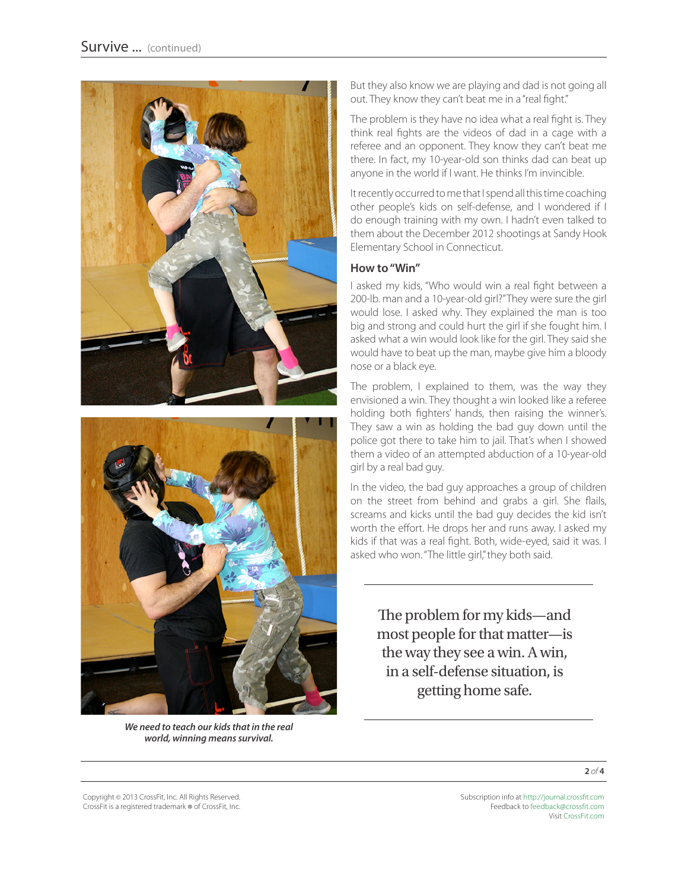



*We need to teach our kids that in the real world, winning means survival.*

But they also know we are playing and dad is not going all out. They know they can't beat me in a "real fight."

The problem is they have no idea what a real fight is. They think real fights are the videos of dad in a cage with a referee and an opponent. They know they can't beat me there. In fact, my 10-year-old son thinks dad can beat up anyone in the world if I want. He thinks I'm invincible.

It recently occurred to me that I spend all this time coaching other people's kids on self-defense, and I wondered if I do enough training with my own. I hadn't even talked to them about the December 2012 shootings at Sandy Hook Elementary School in Connecticut.

#### **How to "Win"**

I asked my kids, "Who would win a real fight between a 200-lb. man and a 10-year-old girl?" They were sure the girl would lose. I asked why. They explained the man is too big and strong and could hurt the girl if she fought him. I asked what a win would look like for the girl. They said she would have to beat up the man, maybe give him a bloody nose or a black eye.

The problem, I explained to them, was the way they envisioned a win. They thought a win looked like a referee holding both fighters' hands, then raising the winner's. They saw a win as holding the bad guy down until the police got there to take him to jail. That's when I showed them a video of an attempted abduction of a 10-year-old girl by a real bad guy.

In the video, the bad guy approaches a group of children on the street from behind and grabs a girl. She flails, screams and kicks until the bad guy decides the kid isn't worth the effort. He drops her and runs away. I asked my kids if that was a real fight. Both, wide-eyed, said it was. I asked who won. "The little girl," they both said.

The problem for my kids—and most people for that matter—is the way they see a win. A win, in a self-defense situation, is getting home safe.

**2** *of* **4**

Copyright © 2013 CrossFit, Inc. All Rights Reserved. CrossFit is a registered trademark ® of CrossFit, Inc.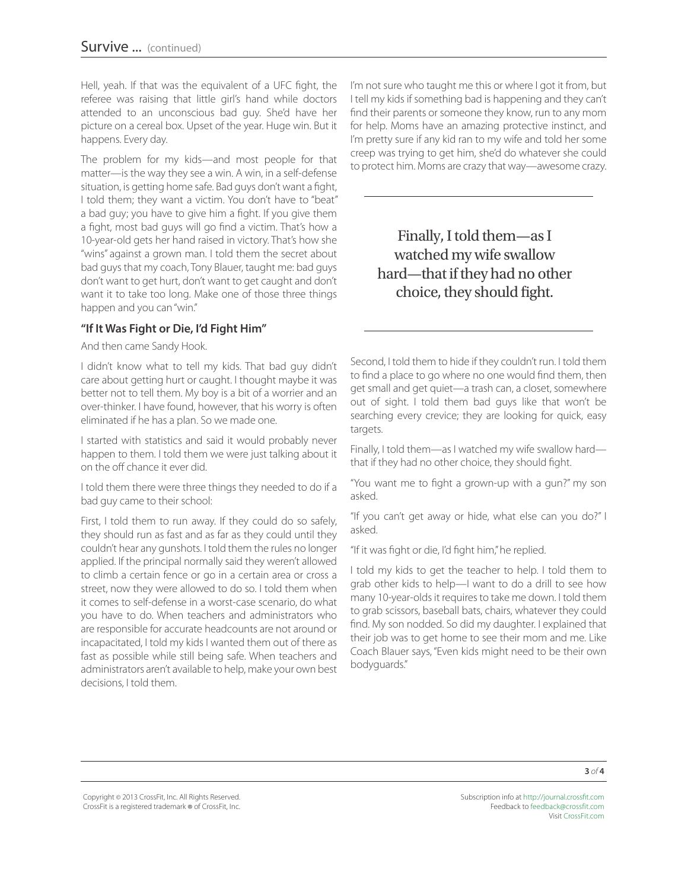Hell, yeah. If that was the equivalent of a UFC fight, the referee was raising that little girl's hand while doctors attended to an unconscious bad guy. She'd have her picture on a cereal box. Upset of the year. Huge win. But it happens. Every day.

The problem for my kids—and most people for that matter—is the way they see a win. A win, in a self-defense situation, is getting home safe. Bad guys don't want a fight, I told them; they want a victim. You don't have to "beat" a bad guy; you have to give him a fight. If you give them a fight, most bad guys will go find a victim. That's how a 10-year-old gets her hand raised in victory. That's how she "wins" against a grown man. I told them the secret about bad guys that my coach, Tony Blauer, taught me: bad guys don't want to get hurt, don't want to get caught and don't want it to take too long. Make one of those three things happen and you can "win."

#### **"If It Was Fight or Die, I'd Fight Him"**

And then came Sandy Hook.

I didn't know what to tell my kids. That bad guy didn't care about getting hurt or caught. I thought maybe it was better not to tell them. My boy is a bit of a worrier and an over-thinker. I have found, however, that his worry is often eliminated if he has a plan. So we made one.

I started with statistics and said it would probably never happen to them. I told them we were just talking about it on the off chance it ever did.

I told them there were three things they needed to do if a bad guy came to their school:

First, I told them to run away. If they could do so safely, they should run as fast and as far as they could until they couldn't hear any gunshots. I told them the rules no longer applied. If the principal normally said they weren't allowed to climb a certain fence or go in a certain area or cross a street, now they were allowed to do so. I told them when it comes to self-defense in a worst-case scenario, do what you have to do. When teachers and administrators who are responsible for accurate headcounts are not around or incapacitated, I told my kids I wanted them out of there as fast as possible while still being safe. When teachers and administrators aren't available to help, make your own best decisions, I told them.

I'm not sure who taught me this or where I got it from, but I tell my kids if something bad is happening and they can't find their parents or someone they know, run to any mom for help. Moms have an amazing protective instinct, and I'm pretty sure if any kid ran to my wife and told her some creep was trying to get him, she'd do whatever she could to protect him. Moms are crazy that way—awesome crazy.

Finally, I told them—as I watched my wife swallow hard—that if they had no other choice, they should fight.

Second, I told them to hide if they couldn't run. I told them to find a place to go where no one would find them, then get small and get quiet—a trash can, a closet, somewhere out of sight. I told them bad guys like that won't be searching every crevice; they are looking for quick, easy targets.

Finally, I told them—as I watched my wife swallow hard that if they had no other choice, they should fight.

"You want me to fight a grown-up with a gun?" my son asked.

"If you can't get away or hide, what else can you do?" I asked.

"If it was fight or die, I'd fight him," he replied.

I told my kids to get the teacher to help. I told them to grab other kids to help—I want to do a drill to see how many 10-year-olds it requires to take me down. I told them to grab scissors, baseball bats, chairs, whatever they could find. My son nodded. So did my daughter. I explained that their job was to get home to see their mom and me. Like Coach Blauer says, "Even kids might need to be their own bodyguards."

Subscription info at <http://journal.crossfit.com> Feedback to [feedback@crossfit.com](mailto:feedback@crossfit.com) Visit [CrossFit.com](http://www.crossfit.com)